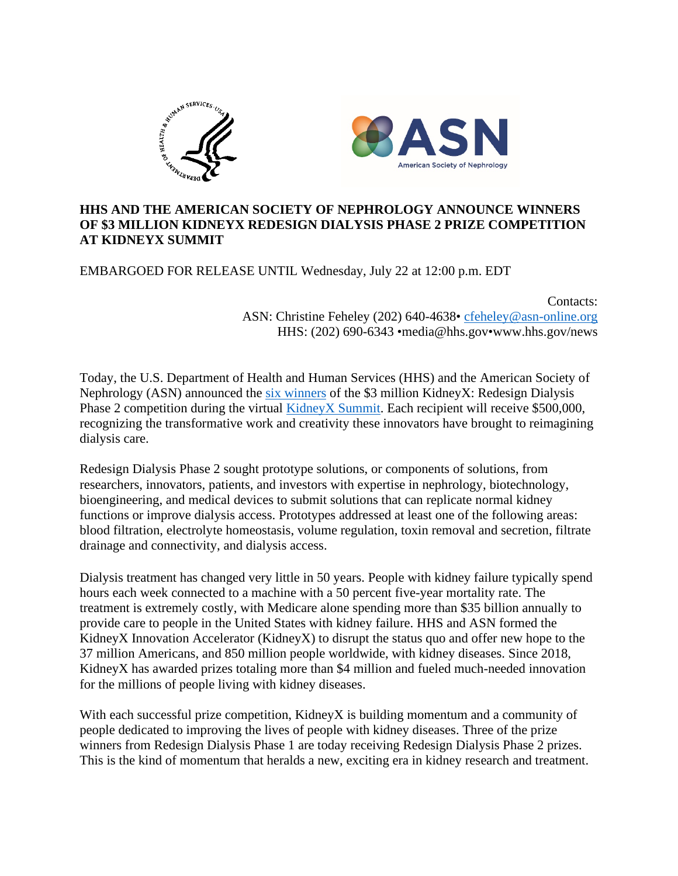

## **HHS AND THE AMERICAN SOCIETY OF NEPHROLOGY ANNOUNCE WINNERS OF \$3 MILLION KIDNEYX REDESIGN DIALYSIS PHASE 2 PRIZE COMPETITION AT KIDNEYX SUMMIT**

EMBARGOED FOR RELEASE UNTIL Wednesday, July 22 at 12:00 p.m. EDT

Contacts:

ASN: Christine Feheley (202) 640-4638• [cfeheley@asn-online.org](mailto:cfeheley@asn-online.org) HHS: (202) 690-6343 •media@hhs.gov•www.hhs.gov/news

Today, the U.S. Department of Health and Human Services (HHS) and the American Society of Nephrology (ASN) announced the [six winners](https://www.kidneyx.org/PrizeCompetitions/PrizeWinners) of the \$3 million KidneyX: Redesign Dialysis Phase 2 competition during the virtual [KidneyX Summit.](https://www.kidneyx.org/pages/events.aspx?ID=10) Each recipient will receive \$500,000, recognizing the transformative work and creativity these innovators have brought to reimagining dialysis care.

Redesign Dialysis Phase 2 sought prototype solutions, or components of solutions, from researchers, innovators, patients, and investors with expertise in nephrology, biotechnology, bioengineering, and medical devices to submit solutions that can replicate normal kidney functions or improve dialysis access. Prototypes addressed at least one of the following areas: blood filtration, electrolyte homeostasis, volume regulation, toxin removal and secretion, filtrate drainage and connectivity, and dialysis access.

Dialysis treatment has changed very little in 50 years. People with kidney failure typically spend hours each week connected to a machine with a 50 percent five-year mortality rate. The treatment is extremely costly, with Medicare alone spending more than \$35 billion annually to provide care to people in the United States with kidney failure. HHS and ASN formed the KidneyX Innovation Accelerator (KidneyX) to disrupt the status quo and offer new hope to the 37 million Americans, and 850 million people worldwide, with kidney diseases. Since 2018, KidneyX has awarded prizes totaling more than \$4 million and fueled much-needed innovation for the millions of people living with kidney diseases.

With each successful prize competition, KidneyX is building momentum and a community of people dedicated to improving the lives of people with kidney diseases. Three of the prize winners from Redesign Dialysis Phase 1 are today receiving Redesign Dialysis Phase 2 prizes. This is the kind of momentum that heralds a new, exciting era in kidney research and treatment.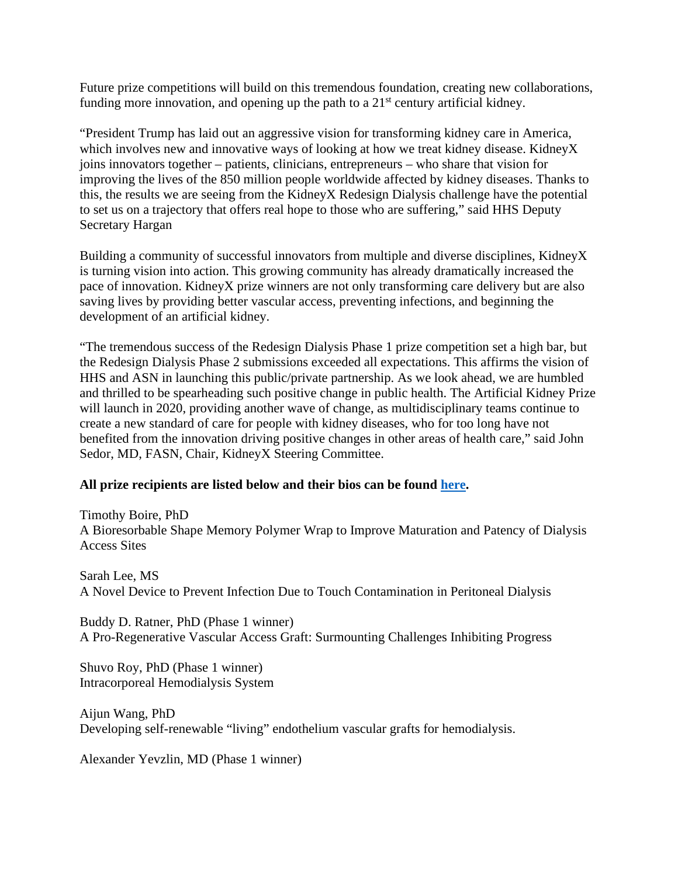Future prize competitions will build on this tremendous foundation, creating new collaborations, funding more innovation, and opening up the path to a  $21<sup>st</sup>$  century artificial kidney.

"President Trump has laid out an aggressive vision for transforming kidney care in America, which involves new and innovative ways of looking at how we treat kidney disease. KidneyX joins innovators together – patients, clinicians, entrepreneurs – who share that vision for improving the lives of the 850 million people worldwide affected by kidney diseases. Thanks to this, the results we are seeing from the KidneyX Redesign Dialysis challenge have the potential to set us on a trajectory that offers real hope to those who are suffering," said HHS Deputy Secretary Hargan

Building a community of successful innovators from multiple and diverse disciplines, KidneyX is turning vision into action. This growing community has already dramatically increased the pace of innovation. KidneyX prize winners are not only transforming care delivery but are also saving lives by providing better vascular access, preventing infections, and beginning the development of an artificial kidney.

"The tremendous success of the Redesign Dialysis Phase 1 prize competition set a high bar, but the Redesign Dialysis Phase 2 submissions exceeded all expectations. This affirms the vision of HHS and ASN in launching this public/private partnership. As we look ahead, we are humbled and thrilled to be spearheading such positive change in public health. The Artificial Kidney Prize will launch in 2020, providing another wave of change, as multidisciplinary teams continue to create a new standard of care for people with kidney diseases, who for too long have not benefited from the innovation driving positive changes in other areas of health care," said John Sedor, MD, FASN, Chair, KidneyX Steering Committee.

## **All prize recipients are listed below and their bios can be found [here.](https://www.kidneynews.org/sites/default/files/RD2%20bios%207%2013%2020.pdf)**

Timothy Boire, PhD A Bioresorbable Shape Memory Polymer Wrap to Improve Maturation and Patency of Dialysis Access Sites

Sarah Lee, MS A Novel Device to Prevent Infection Due to Touch Contamination in Peritoneal Dialysis

Buddy D. Ratner, PhD (Phase 1 winner) A Pro-Regenerative Vascular Access Graft: Surmounting Challenges Inhibiting Progress

Shuvo Roy, PhD (Phase 1 winner) Intracorporeal Hemodialysis System

Aijun Wang, PhD Developing self-renewable "living" endothelium vascular grafts for hemodialysis.

Alexander Yevzlin, MD (Phase 1 winner)